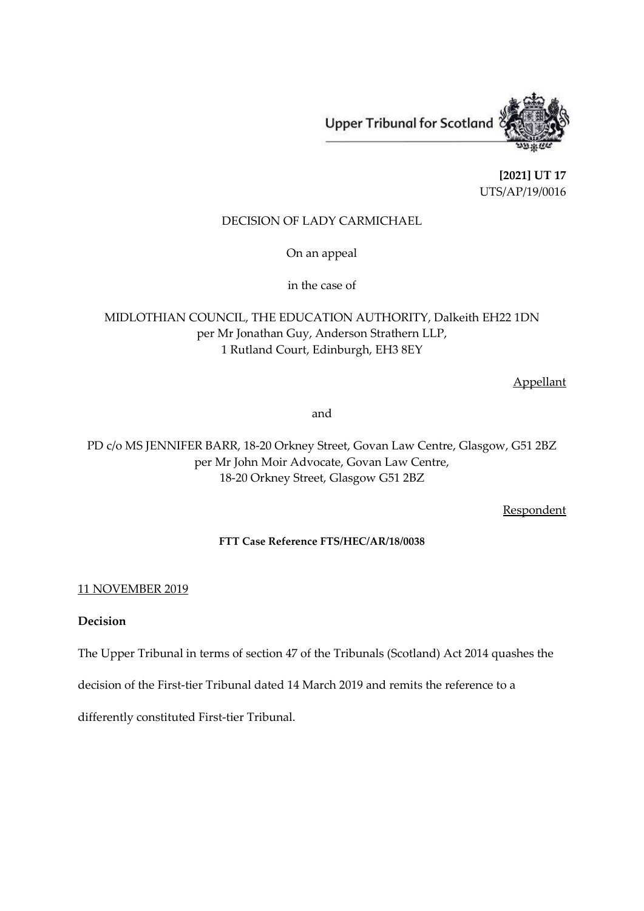**Upper Tribunal for Scotland** 

**[2021] UT 17** UTS/AP/19/0016

# DECISION OF LADY CARMICHAEL

On an appeal

in the case of

MIDLOTHIAN COUNCIL, THE EDUCATION AUTHORITY, Dalkeith EH22 1DN per Mr Jonathan Guy, Anderson Strathern LLP, 1 Rutland Court, Edinburgh, EH3 8EY

Appellant

and

PD c/o MS JENNIFER BARR, 18-20 Orkney Street, Govan Law Centre, Glasgow, G51 2BZ per Mr John Moir Advocate, Govan Law Centre, 18-20 Orkney Street, Glasgow G51 2BZ

**Respondent** 

## **FTT Case Reference FTS/HEC/AR/18/0038**

## 11 NOVEMBER 2019

## **Decision**

The Upper Tribunal in terms of section 47 of the Tribunals (Scotland) Act 2014 quashes the

decision of the First-tier Tribunal dated 14 March 2019 and remits the reference to a

differently constituted First-tier Tribunal.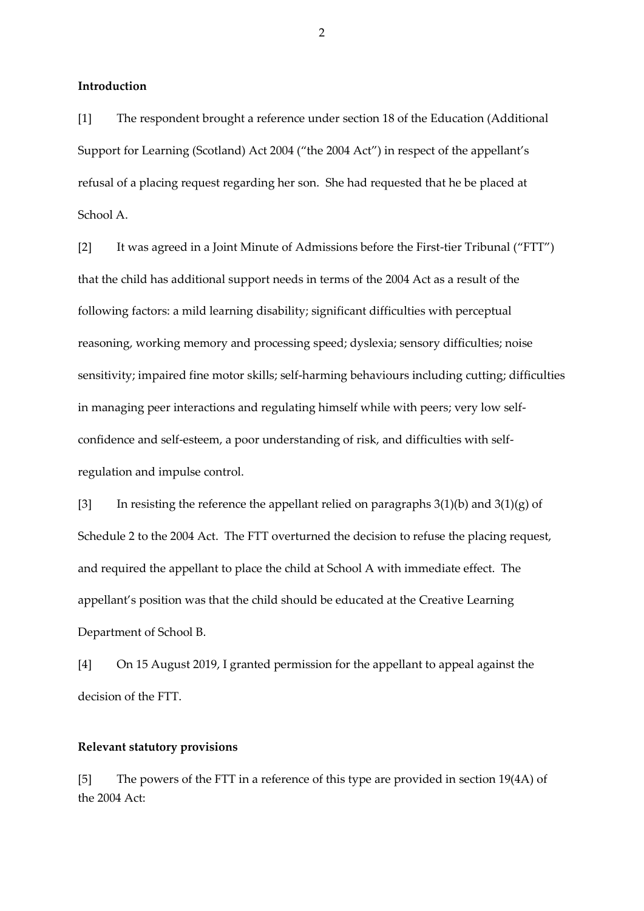**Introduction** 

[1] The respondent brought a reference under section 18 of the Education (Additional Support for Learning (Scotland) Act 2004 ("the 2004 Act") in respect of the appellant's refusal of a placing request regarding her son. She had requested that he be placed at School A.

[2] It was agreed in a Joint Minute of Admissions before the First-tier Tribunal ("FTT") that the child has additional support needs in terms of the 2004 Act as a result of the following factors: a mild learning disability; significant difficulties with perceptual reasoning, working memory and processing speed; dyslexia; sensory difficulties; noise sensitivity; impaired fine motor skills; self-harming behaviours including cutting; difficulties in managing peer interactions and regulating himself while with peers; very low selfconfidence and self-esteem, a poor understanding of risk, and difficulties with selfregulation and impulse control.

[3] In resisting the reference the appellant relied on paragraphs  $3(1)(b)$  and  $3(1)(g)$  of Schedule 2 to the 2004 Act. The FTT overturned the decision to refuse the placing request, and required the appellant to place the child at School A with immediate effect. The appellant's position was that the child should be educated at the Creative Learning Department of School B.

[4] On 15 August 2019, I granted permission for the appellant to appeal against the decision of the FTT.

#### **Relevant statutory provisions**

[5] The powers of the FTT in a reference of this type are provided in section 19(4A) of the 2004 Act: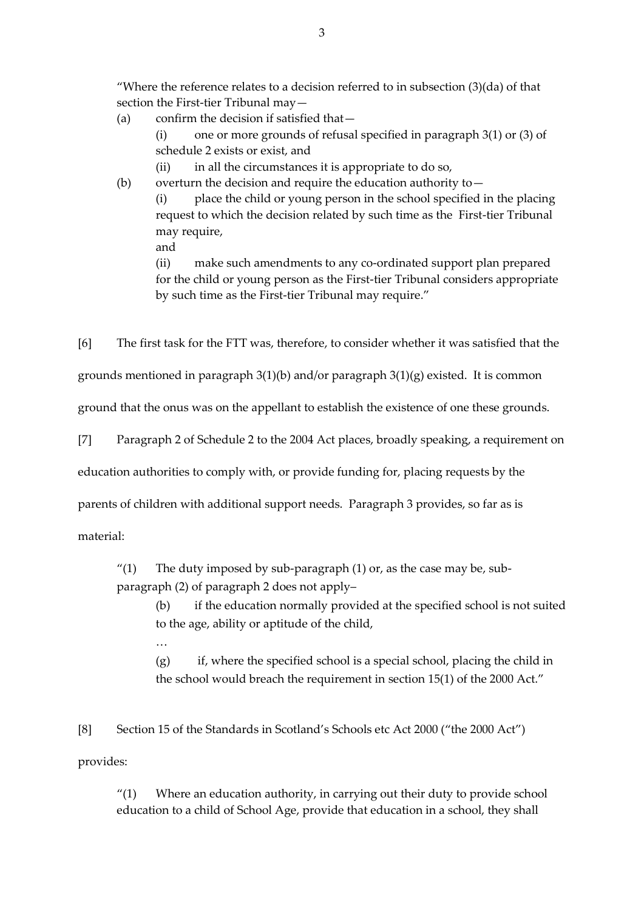"Where the reference relates to a decision referred to in subsection  $(3)(da)$  of that section the First-tier Tribunal may—

(a) confirm the decision if satisfied that—

(i) one or more grounds of refusal specified in paragraph 3(1) or (3) of schedule 2 exists or exist, and

(ii) in all the circumstances it is appropriate to do so,

(b) overturn the decision and require the education authority to  $-$ 

(i) place the child or young person in the school specified in the placing request to which the decision related by such time as the First-tier Tribunal may require,

and

(ii) make such amendments to any co-ordinated support plan prepared for the child or young person as the First-tier Tribunal considers appropriate by such time as the First-tier Tribunal may require."

[6] The first task for the FTT was, therefore, to consider whether it was satisfied that the

grounds mentioned in paragraph 3(1)(b) and/or paragraph 3(1)(g) existed. It is common

ground that the onus was on the appellant to establish the existence of one these grounds.

[7] Paragraph 2 of Schedule 2 to the 2004 Act places, broadly speaking, a requirement on

education authorities to comply with, or provide funding for, placing requests by the

parents of children with additional support needs. Paragraph 3 provides, so far as is

material:

…

" $(1)$  The duty imposed by sub-paragraph  $(1)$  or, as the case may be, sub-

paragraph (2) of paragraph 2 does not apply–

(b) if the education normally provided at the specified school is not suited to the age, ability or aptitude of the child,

(g) if, where the specified school is a special school, placing the child in the school would breach the requirement in section 15(1) of the 2000 Act."

[8] Section 15 of the Standards in Scotland's Schools etc Act 2000 ("the 2000 Act")

provides:

"(1) Where an education authority, in carrying out their duty to provide school education to a child of School Age, provide that education in a school, they shall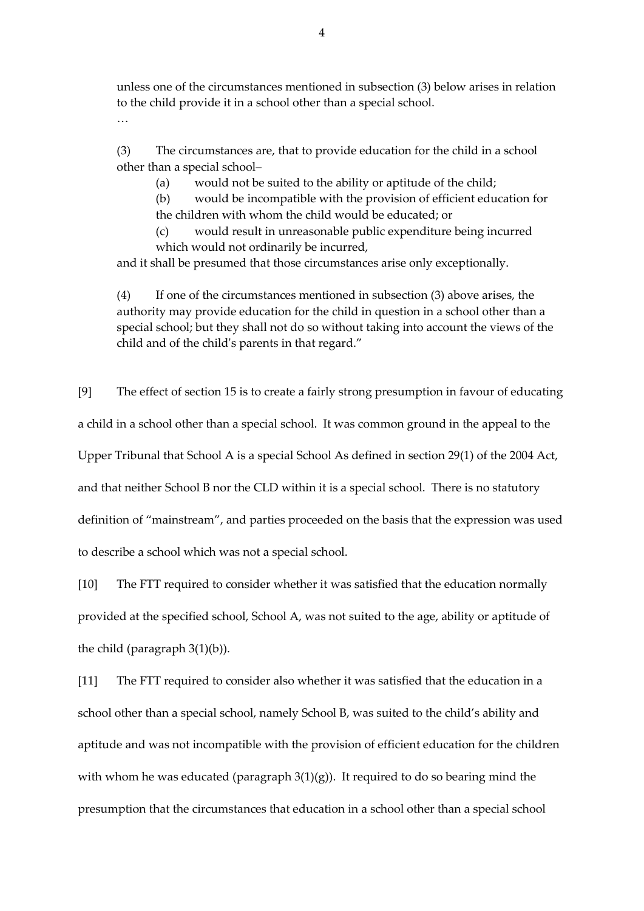unless one of the circumstances mentioned in subsection (3) below arises in relation to the child provide it in a school other than a special school.

…

(3) The circumstances are, that to provide education for the child in a school other than a special school–

(a) would not be suited to the ability or aptitude of the child;

(b) would be incompatible with the provision of efficient education for the children with whom the child would be educated; or

(c) would result in unreasonable public expenditure being incurred which would not ordinarily be incurred,

and it shall be presumed that those circumstances arise only exceptionally.

(4) If one of the circumstances mentioned in subsection (3) above arises, the authority may provide education for the child in question in a school other than a special school; but they shall not do so without taking into account the views of the child and of the child's parents in that regard."

[9] The effect of section 15 is to create a fairly strong presumption in favour of educating a child in a school other than a special school. It was common ground in the appeal to the Upper Tribunal that School A is a special School As defined in section 29(1) of the 2004 Act, and that neither School B nor the CLD within it is a special school. There is no statutory definition of "mainstream", and parties proceeded on the basis that the expression was used to describe a school which was not a special school.

[10] The FTT required to consider whether it was satisfied that the education normally provided at the specified school, School A, was not suited to the age, ability or aptitude of the child (paragraph 3(1)(b)).

[11] The FTT required to consider also whether it was satisfied that the education in a school other than a special school, namely School B, was suited to the child's ability and aptitude and was not incompatible with the provision of efficient education for the children with whom he was educated (paragraph  $3(1)(g)$ ). It required to do so bearing mind the presumption that the circumstances that education in a school other than a special school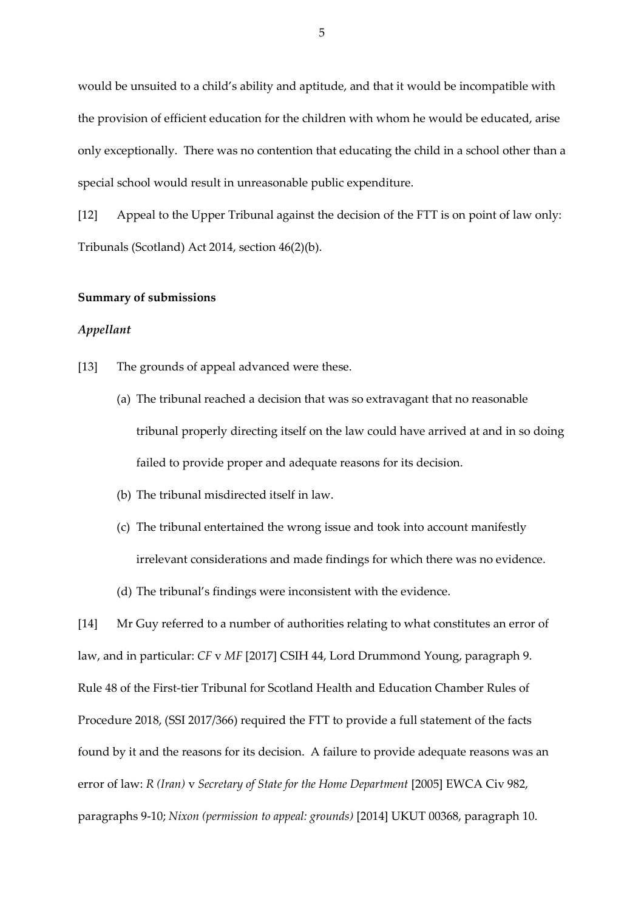would be unsuited to a child's ability and aptitude, and that it would be incompatible with the provision of efficient education for the children with whom he would be educated, arise only exceptionally. There was no contention that educating the child in a school other than a special school would result in unreasonable public expenditure.

[12] Appeal to the Upper Tribunal against the decision of the FTT is on point of law only: Tribunals (Scotland) Act 2014, section 46(2)(b).

#### **Summary of submissions**

#### *Appellant*

- [13] The grounds of appeal advanced were these.
	- (a) The tribunal reached a decision that was so extravagant that no reasonable tribunal properly directing itself on the law could have arrived at and in so doing failed to provide proper and adequate reasons for its decision.
	- (b) The tribunal misdirected itself in law.
	- (c) The tribunal entertained the wrong issue and took into account manifestly irrelevant considerations and made findings for which there was no evidence.
	- (d) The tribunal's findings were inconsistent with the evidence.

[14] Mr Guy referred to a number of authorities relating to what constitutes an error of law, and in particular: *CF* v *MF* [2017] CSIH 44, Lord Drummond Young, paragraph 9. Rule 48 of the First-tier Tribunal for Scotland Health and Education Chamber Rules of Procedure 2018, (SSI 2017/366) required the FTT to provide a full statement of the facts found by it and the reasons for its decision. A failure to provide adequate reasons was an error of law: *R (Iran)* v *Secretary of State for the Home Department* [2005] EWCA Civ 982, paragraphs 9-10; *Nixon (permission to appeal: grounds)* [2014] UKUT 00368, paragraph 10.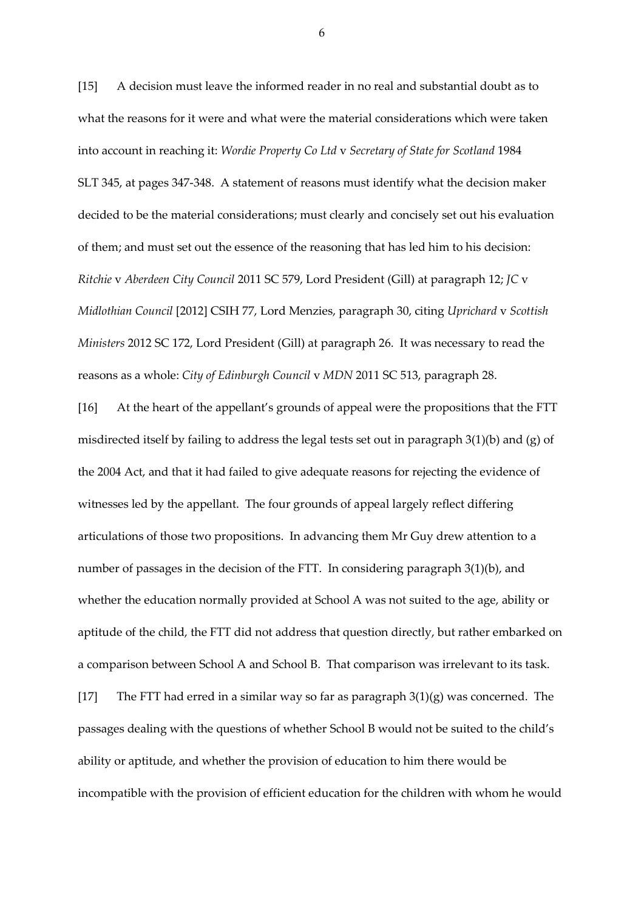[15] A decision must leave the informed reader in no real and substantial doubt as to what the reasons for it were and what were the material considerations which were taken into account in reaching it: *Wordie Property Co Ltd* v *Secretary of State for Scotland* 1984 SLT 345, at pages 347-348. A statement of reasons must identify what the decision maker decided to be the material considerations; must clearly and concisely set out his evaluation of them; and must set out the essence of the reasoning that has led him to his decision: *Ritchie* v *Aberdeen City Council* 2011 SC 579, Lord President (Gill) at paragraph 12; *JC* v *Midlothian Council* [2012] CSIH 77, Lord Menzies, paragraph 30, citing *Uprichard* v *Scottish Ministers* 2012 SC 172, Lord President (Gill) at paragraph 26. It was necessary to read the reasons as a whole: *City of Edinburgh Council* v *MDN* 2011 SC 513, paragraph 28.

[16] At the heart of the appellant's grounds of appeal were the propositions that the FTT misdirected itself by failing to address the legal tests set out in paragraph 3(1)(b) and (g) of the 2004 Act, and that it had failed to give adequate reasons for rejecting the evidence of witnesses led by the appellant. The four grounds of appeal largely reflect differing articulations of those two propositions. In advancing them Mr Guy drew attention to a number of passages in the decision of the FTT. In considering paragraph 3(1)(b), and whether the education normally provided at School A was not suited to the age, ability or aptitude of the child, the FTT did not address that question directly, but rather embarked on a comparison between School A and School B. That comparison was irrelevant to its task. [17] The FTT had erred in a similar way so far as paragraph  $3(1)(g)$  was concerned. The passages dealing with the questions of whether School B would not be suited to the child's ability or aptitude, and whether the provision of education to him there would be incompatible with the provision of efficient education for the children with whom he would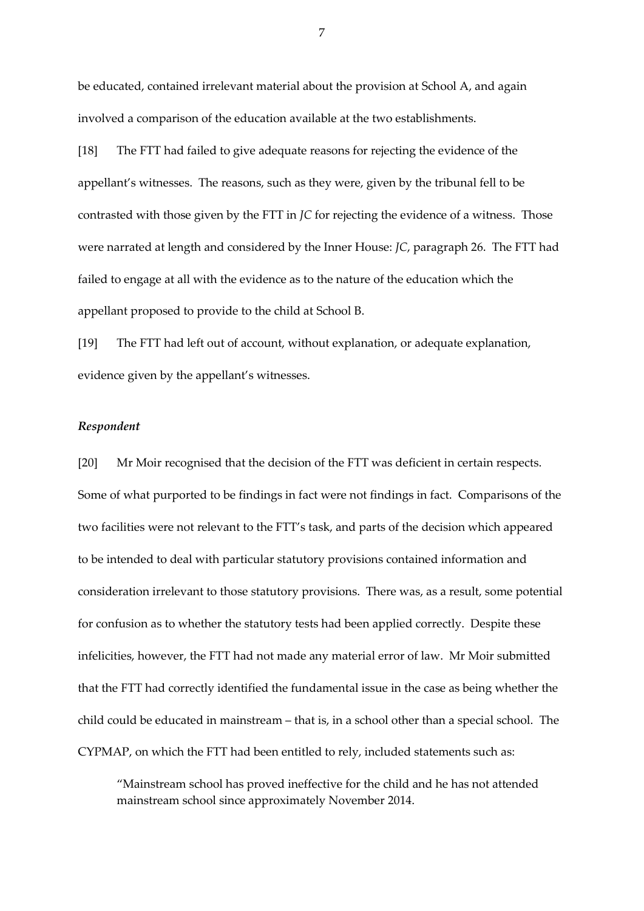be educated, contained irrelevant material about the provision at School A, and again involved a comparison of the education available at the two establishments.

[18] The FTT had failed to give adequate reasons for rejecting the evidence of the appellant's witnesses. The reasons, such as they were, given by the tribunal fell to be contrasted with those given by the FTT in *JC* for rejecting the evidence of a witness. Those were narrated at length and considered by the Inner House: *JC*, paragraph 26. The FTT had failed to engage at all with the evidence as to the nature of the education which the appellant proposed to provide to the child at School B.

[19] The FTT had left out of account, without explanation, or adequate explanation, evidence given by the appellant's witnesses.

## *Respondent*

[20] Mr Moir recognised that the decision of the FTT was deficient in certain respects. Some of what purported to be findings in fact were not findings in fact. Comparisons of the two facilities were not relevant to the FTT's task, and parts of the decision which appeared to be intended to deal with particular statutory provisions contained information and consideration irrelevant to those statutory provisions. There was, as a result, some potential for confusion as to whether the statutory tests had been applied correctly. Despite these infelicities, however, the FTT had not made any material error of law. Mr Moir submitted that the FTT had correctly identified the fundamental issue in the case as being whether the child could be educated in mainstream – that is, in a school other than a special school. The CYPMAP, on which the FTT had been entitled to rely, included statements such as:

"Mainstream school has proved ineffective for the child and he has not attended mainstream school since approximately November 2014.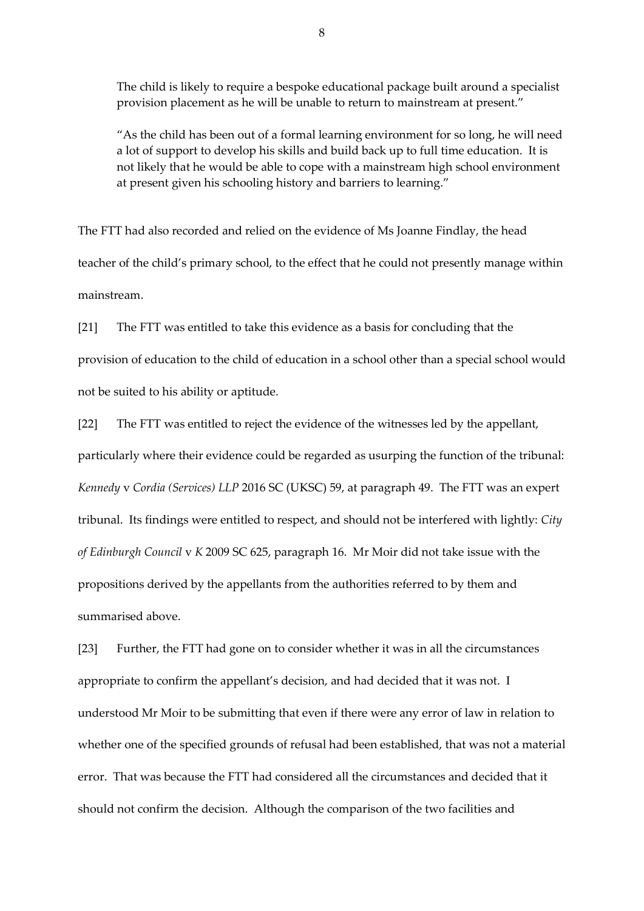The child is likely to require a bespoke educational package built around a specialist provision placement as he will be unable to return to mainstream at present."

"As the child has been out of a formal learning environment for so long, he will need a lot of support to develop his skills and build back up to full time education. It is not likely that he would be able to cope with a mainstream high school environment at present given his schooling history and barriers to learning."

The FTT had also recorded and relied on the evidence of Ms Joanne Findlay, the head teacher of the child's primary school, to the effect that he could not presently manage within mainstream.

[21] The FTT was entitled to take this evidence as a basis for concluding that the provision of education to the child of education in a school other than a special school would not be suited to his ability or aptitude.

[22] The FTT was entitled to reject the evidence of the witnesses led by the appellant, particularly where their evidence could be regarded as usurping the function of the tribunal: *Kennedy* v *Cordia (Services) LLP* 2016 SC (UKSC) 59, at paragraph 49. The FTT was an expert tribunal. Its findings were entitled to respect, and should not be interfered with lightly: *City of Edinburgh Council* v *K* 2009 SC 625, paragraph 16. Mr Moir did not take issue with the propositions derived by the appellants from the authorities referred to by them and summarised above.

[23] Further, the FTT had gone on to consider whether it was in all the circumstances appropriate to confirm the appellant's decision, and had decided that it was not. I understood Mr Moir to be submitting that even if there were any error of law in relation to whether one of the specified grounds of refusal had been established, that was not a material error. That was because the FTT had considered all the circumstances and decided that it should not confirm the decision. Although the comparison of the two facilities and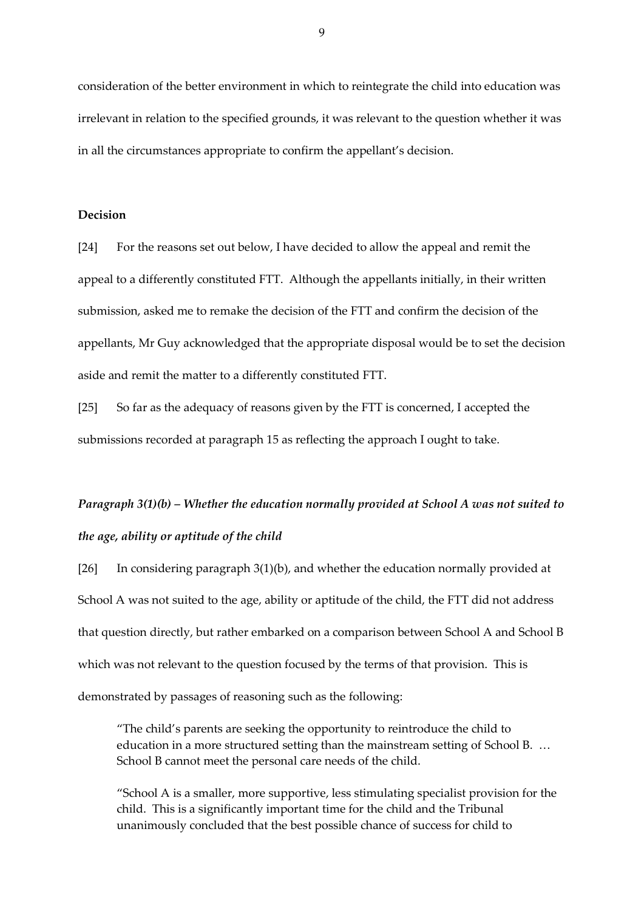consideration of the better environment in which to reintegrate the child into education was irrelevant in relation to the specified grounds, it was relevant to the question whether it was in all the circumstances appropriate to confirm the appellant's decision.

## **Decision**

[24] For the reasons set out below, I have decided to allow the appeal and remit the appeal to a differently constituted FTT. Although the appellants initially, in their written submission, asked me to remake the decision of the FTT and confirm the decision of the appellants, Mr Guy acknowledged that the appropriate disposal would be to set the decision aside and remit the matter to a differently constituted FTT.

[25] So far as the adequacy of reasons given by the FTT is concerned, I accepted the submissions recorded at paragraph 15 as reflecting the approach I ought to take.

# *Paragraph 3(1)(b) – Whether the education normally provided at School A was not suited to the age, ability or aptitude of the child*

[26] In considering paragraph 3(1)(b), and whether the education normally provided at School A was not suited to the age, ability or aptitude of the child, the FTT did not address that question directly, but rather embarked on a comparison between School A and School B which was not relevant to the question focused by the terms of that provision. This is demonstrated by passages of reasoning such as the following:

"The child's parents are seeking the opportunity to reintroduce the child to education in a more structured setting than the mainstream setting of School B. … School B cannot meet the personal care needs of the child.

"School A is a smaller, more supportive, less stimulating specialist provision for the child. This is a significantly important time for the child and the Tribunal unanimously concluded that the best possible chance of success for child to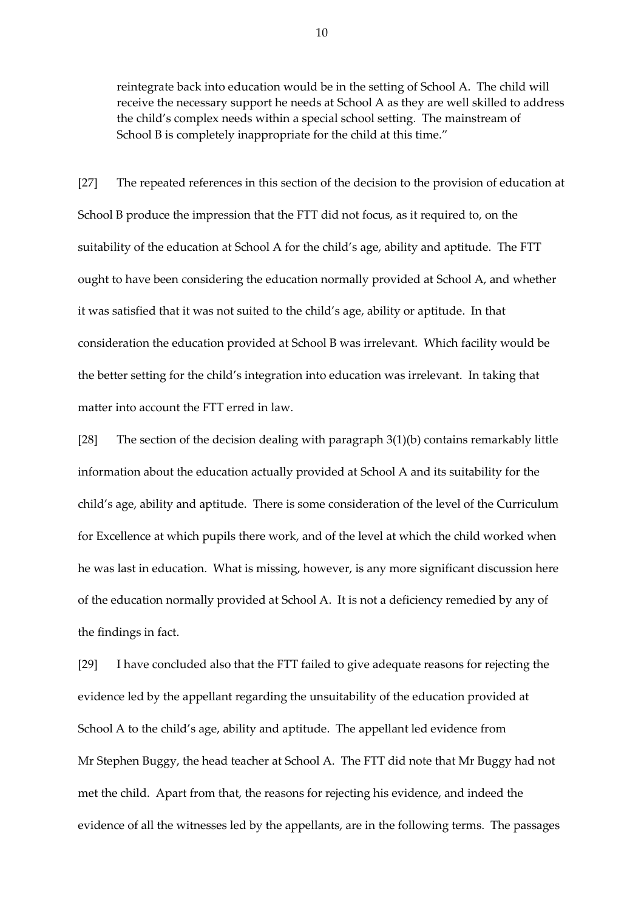reintegrate back into education would be in the setting of School A. The child will receive the necessary support he needs at School A as they are well skilled to address the child's complex needs within a special school setting. The mainstream of School B is completely inappropriate for the child at this time."

[27] The repeated references in this section of the decision to the provision of education at School B produce the impression that the FTT did not focus, as it required to, on the suitability of the education at School A for the child's age, ability and aptitude. The FTT ought to have been considering the education normally provided at School A, and whether it was satisfied that it was not suited to the child's age, ability or aptitude. In that consideration the education provided at School B was irrelevant. Which facility would be the better setting for the child's integration into education was irrelevant. In taking that matter into account the FTT erred in law.

[28] The section of the decision dealing with paragraph 3(1)(b) contains remarkably little information about the education actually provided at School A and its suitability for the child's age, ability and aptitude. There is some consideration of the level of the Curriculum for Excellence at which pupils there work, and of the level at which the child worked when he was last in education. What is missing, however, is any more significant discussion here of the education normally provided at School A. It is not a deficiency remedied by any of the findings in fact.

[29] I have concluded also that the FTT failed to give adequate reasons for rejecting the evidence led by the appellant regarding the unsuitability of the education provided at School A to the child's age, ability and aptitude. The appellant led evidence from Mr Stephen Buggy, the head teacher at School A. The FTT did note that Mr Buggy had not met the child. Apart from that, the reasons for rejecting his evidence, and indeed the evidence of all the witnesses led by the appellants, are in the following terms. The passages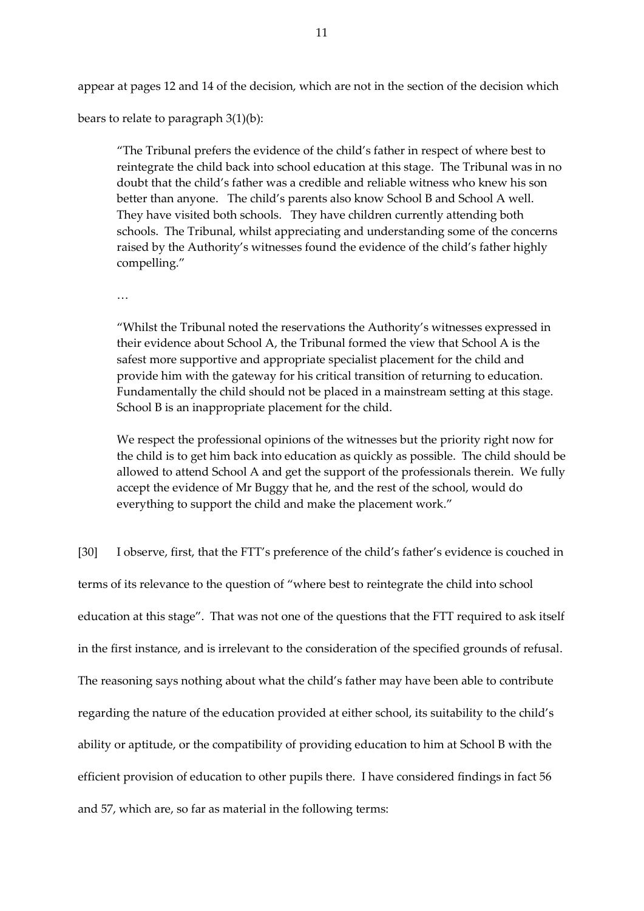appear at pages 12 and 14 of the decision, which are not in the section of the decision which

bears to relate to paragraph 3(1)(b):

"The Tribunal prefers the evidence of the child's father in respect of where best to reintegrate the child back into school education at this stage. The Tribunal was in no doubt that the child's father was a credible and reliable witness who knew his son better than anyone. The child's parents also know School B and School A well. They have visited both schools. They have children currently attending both schools. The Tribunal, whilst appreciating and understanding some of the concerns raised by the Authority's witnesses found the evidence of the child's father highly compelling."

…

"Whilst the Tribunal noted the reservations the Authority's witnesses expressed in their evidence about School A, the Tribunal formed the view that School A is the safest more supportive and appropriate specialist placement for the child and provide him with the gateway for his critical transition of returning to education. Fundamentally the child should not be placed in a mainstream setting at this stage. School B is an inappropriate placement for the child.

We respect the professional opinions of the witnesses but the priority right now for the child is to get him back into education as quickly as possible. The child should be allowed to attend School A and get the support of the professionals therein. We fully accept the evidence of Mr Buggy that he, and the rest of the school, would do everything to support the child and make the placement work."

[30] I observe, first, that the FTT's preference of the child's father's evidence is couched in terms of its relevance to the question of "where best to reintegrate the child into school education at this stage". That was not one of the questions that the FTT required to ask itself in the first instance, and is irrelevant to the consideration of the specified grounds of refusal. The reasoning says nothing about what the child's father may have been able to contribute regarding the nature of the education provided at either school, its suitability to the child's ability or aptitude, or the compatibility of providing education to him at School B with the efficient provision of education to other pupils there. I have considered findings in fact 56 and 57, which are, so far as material in the following terms: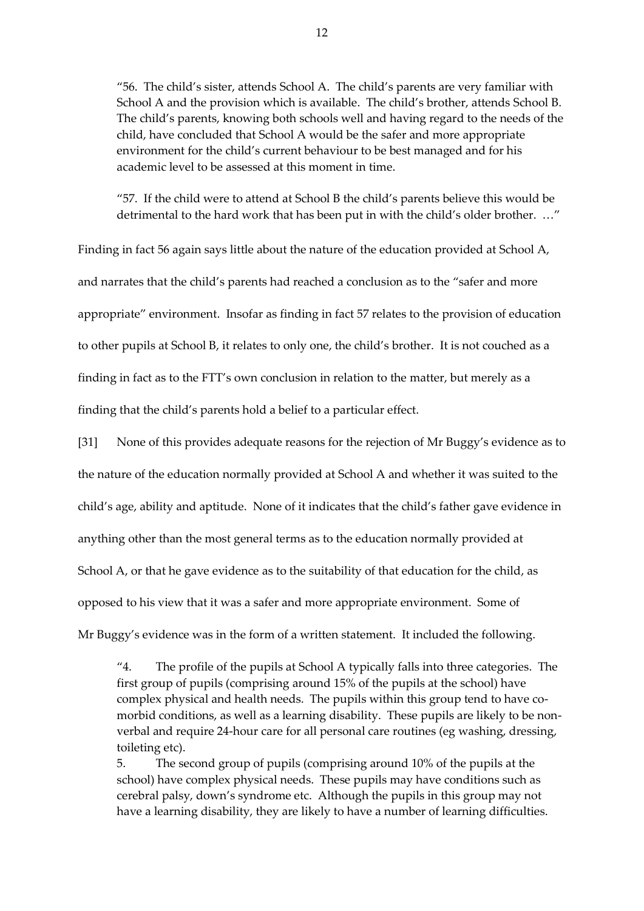"56. The child's sister, attends School A. The child's parents are very familiar with School A and the provision which is available. The child's brother, attends School B. The child's parents, knowing both schools well and having regard to the needs of the child, have concluded that School A would be the safer and more appropriate environment for the child's current behaviour to be best managed and for his academic level to be assessed at this moment in time.

"57. If the child were to attend at School B the child's parents believe this would be detrimental to the hard work that has been put in with the child's older brother. …"

Finding in fact 56 again says little about the nature of the education provided at School A, and narrates that the child's parents had reached a conclusion as to the "safer and more appropriate" environment. Insofar as finding in fact 57 relates to the provision of education to other pupils at School B, it relates to only one, the child's brother. It is not couched as a finding in fact as to the FTT's own conclusion in relation to the matter, but merely as a finding that the child's parents hold a belief to a particular effect.

[31] None of this provides adequate reasons for the rejection of Mr Buggy's evidence as to the nature of the education normally provided at School A and whether it was suited to the child's age, ability and aptitude. None of it indicates that the child's father gave evidence in anything other than the most general terms as to the education normally provided at School A, or that he gave evidence as to the suitability of that education for the child, as opposed to his view that it was a safer and more appropriate environment. Some of Mr Buggy's evidence was in the form of a written statement. It included the following.

"4. The profile of the pupils at School A typically falls into three categories. The first group of pupils (comprising around 15% of the pupils at the school) have complex physical and health needs. The pupils within this group tend to have comorbid conditions, as well as a learning disability. These pupils are likely to be nonverbal and require 24-hour care for all personal care routines (eg washing, dressing, toileting etc).

5. The second group of pupils (comprising around 10% of the pupils at the school) have complex physical needs. These pupils may have conditions such as cerebral palsy, down's syndrome etc. Although the pupils in this group may not have a learning disability, they are likely to have a number of learning difficulties.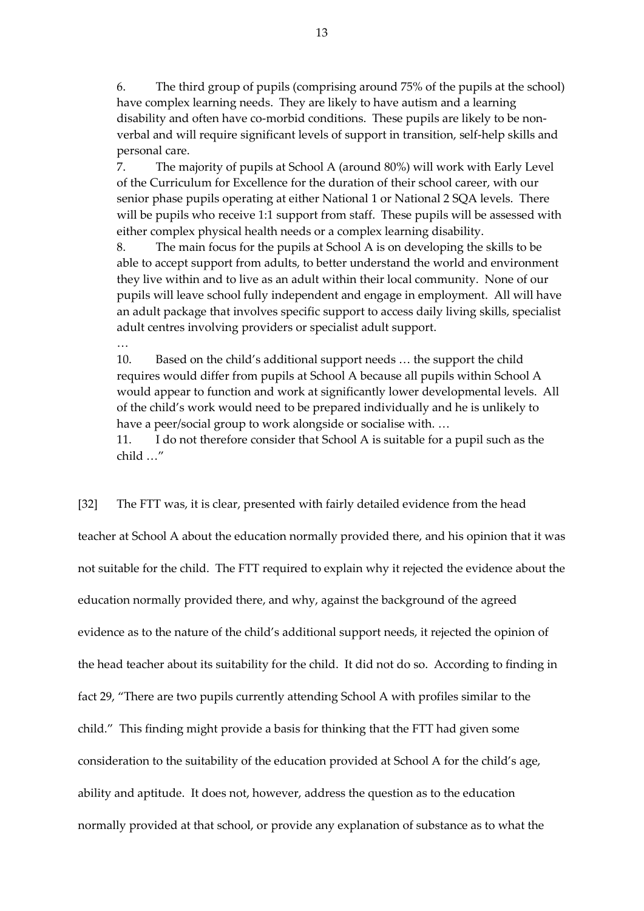6. The third group of pupils (comprising around 75% of the pupils at the school) have complex learning needs. They are likely to have autism and a learning disability and often have co-morbid conditions. These pupils are likely to be nonverbal and will require significant levels of support in transition, self-help skills and personal care.

7. The majority of pupils at School A (around 80%) will work with Early Level of the Curriculum for Excellence for the duration of their school career, with our senior phase pupils operating at either National 1 or National 2 SQA levels. There will be pupils who receive 1:1 support from staff. These pupils will be assessed with either complex physical health needs or a complex learning disability.

8. The main focus for the pupils at School A is on developing the skills to be able to accept support from adults, to better understand the world and environment they live within and to live as an adult within their local community. None of our pupils will leave school fully independent and engage in employment. All will have an adult package that involves specific support to access daily living skills, specialist adult centres involving providers or specialist adult support.

10. Based on the child's additional support needs … the support the child requires would differ from pupils at School A because all pupils within School A would appear to function and work at significantly lower developmental levels. All of the child's work would need to be prepared individually and he is unlikely to have a peer/social group to work alongside or socialise with. …

…

11. I do not therefore consider that School A is suitable for a pupil such as the child …"

[32] The FTT was, it is clear, presented with fairly detailed evidence from the head teacher at School A about the education normally provided there, and his opinion that it was not suitable for the child. The FTT required to explain why it rejected the evidence about the education normally provided there, and why, against the background of the agreed evidence as to the nature of the child's additional support needs, it rejected the opinion of the head teacher about its suitability for the child. It did not do so. According to finding in fact 29, "There are two pupils currently attending School A with profiles similar to the child." This finding might provide a basis for thinking that the FTT had given some consideration to the suitability of the education provided at School A for the child's age, ability and aptitude. It does not, however, address the question as to the education normally provided at that school, or provide any explanation of substance as to what the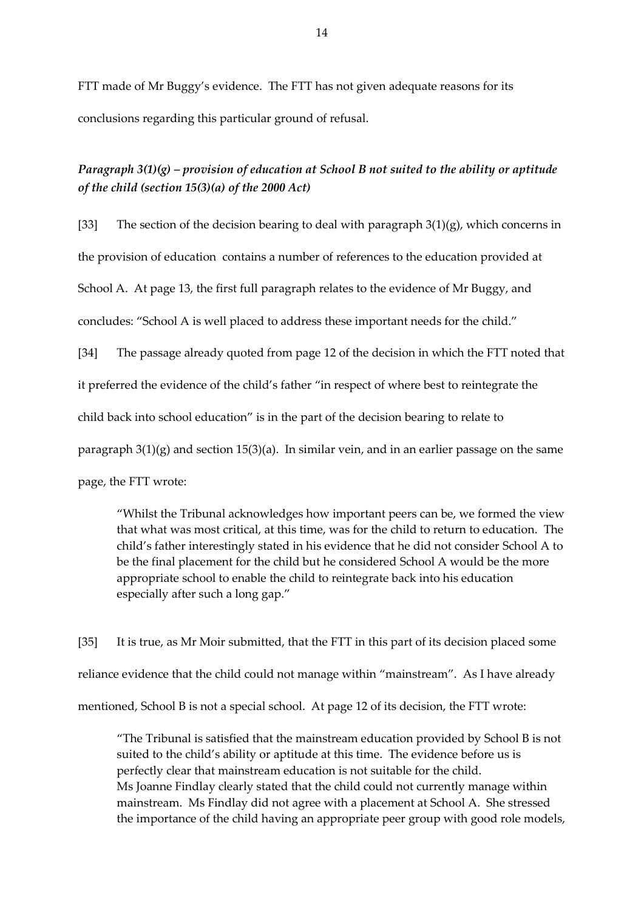FTT made of Mr Buggy's evidence. The FTT has not given adequate reasons for its conclusions regarding this particular ground of refusal.

*Paragraph 3(1)(g) – provision of education at School B not suited to the ability or aptitude of the child (section 15(3)(a) of the 2000 Act)*

[33] The section of the decision bearing to deal with paragraph  $3(1)(g)$ , which concerns in

the provision of education contains a number of references to the education provided at

School A. At page 13, the first full paragraph relates to the evidence of Mr Buggy, and

concludes: "School A is well placed to address these important needs for the child."

[34] The passage already quoted from page 12 of the decision in which the FTT noted that

it preferred the evidence of the child's father "in respect of where best to reintegrate the

child back into school education" is in the part of the decision bearing to relate to

paragraph  $3(1)(g)$  and section  $15(3)(a)$ . In similar vein, and in an earlier passage on the same

page, the FTT wrote:

"Whilst the Tribunal acknowledges how important peers can be, we formed the view that what was most critical, at this time, was for the child to return to education. The child's father interestingly stated in his evidence that he did not consider School A to be the final placement for the child but he considered School A would be the more appropriate school to enable the child to reintegrate back into his education especially after such a long gap."

[35] It is true, as Mr Moir submitted, that the FTT in this part of its decision placed some reliance evidence that the child could not manage within "mainstream". As I have already mentioned, School B is not a special school. At page 12 of its decision, the FTT wrote:

"The Tribunal is satisfied that the mainstream education provided by School B is not suited to the child's ability or aptitude at this time. The evidence before us is perfectly clear that mainstream education is not suitable for the child. Ms Joanne Findlay clearly stated that the child could not currently manage within mainstream. Ms Findlay did not agree with a placement at School A. She stressed the importance of the child having an appropriate peer group with good role models,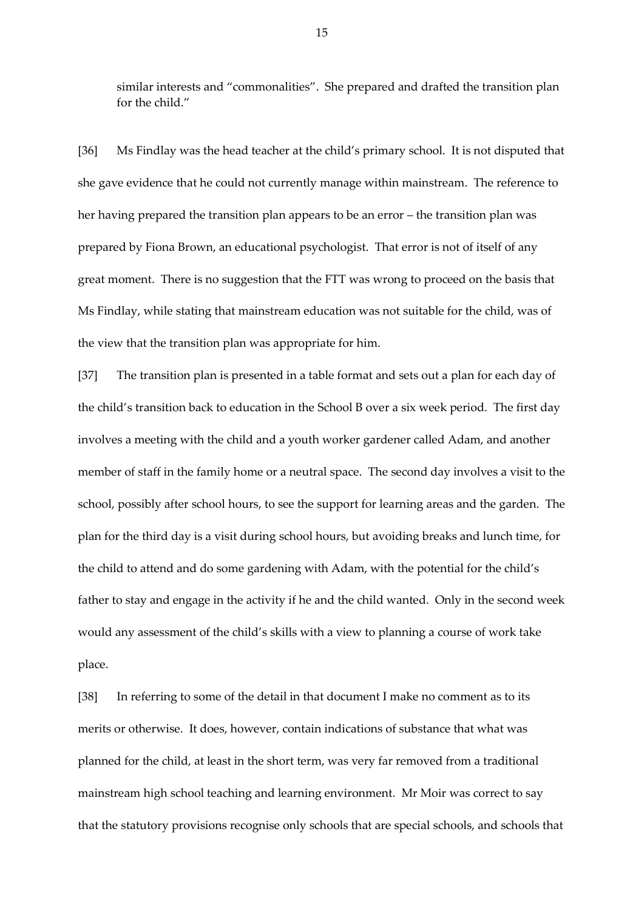similar interests and "commonalities". She prepared and drafted the transition plan for the child."

[36] Ms Findlay was the head teacher at the child's primary school. It is not disputed that she gave evidence that he could not currently manage within mainstream. The reference to her having prepared the transition plan appears to be an error – the transition plan was prepared by Fiona Brown, an educational psychologist. That error is not of itself of any great moment. There is no suggestion that the FTT was wrong to proceed on the basis that Ms Findlay, while stating that mainstream education was not suitable for the child, was of the view that the transition plan was appropriate for him.

[37] The transition plan is presented in a table format and sets out a plan for each day of the child's transition back to education in the School B over a six week period. The first day involves a meeting with the child and a youth worker gardener called Adam, and another member of staff in the family home or a neutral space. The second day involves a visit to the school, possibly after school hours, to see the support for learning areas and the garden. The plan for the third day is a visit during school hours, but avoiding breaks and lunch time, for the child to attend and do some gardening with Adam, with the potential for the child's father to stay and engage in the activity if he and the child wanted. Only in the second week would any assessment of the child's skills with a view to planning a course of work take place.

[38] In referring to some of the detail in that document I make no comment as to its merits or otherwise. It does, however, contain indications of substance that what was planned for the child, at least in the short term, was very far removed from a traditional mainstream high school teaching and learning environment. Mr Moir was correct to say that the statutory provisions recognise only schools that are special schools, and schools that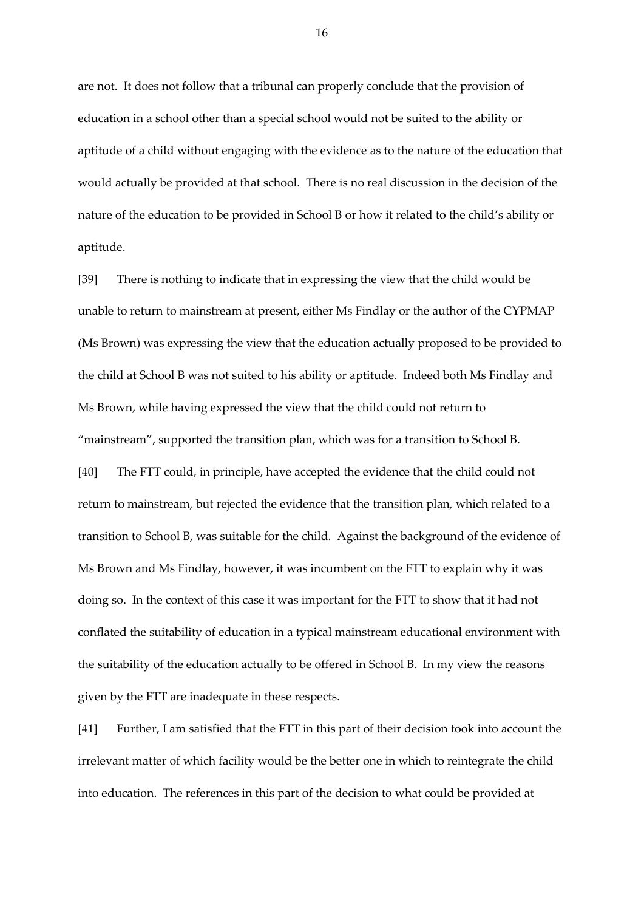are not. It does not follow that a tribunal can properly conclude that the provision of education in a school other than a special school would not be suited to the ability or aptitude of a child without engaging with the evidence as to the nature of the education that would actually be provided at that school. There is no real discussion in the decision of the nature of the education to be provided in School B or how it related to the child's ability or aptitude.

[39] There is nothing to indicate that in expressing the view that the child would be unable to return to mainstream at present, either Ms Findlay or the author of the CYPMAP (Ms Brown) was expressing the view that the education actually proposed to be provided to the child at School B was not suited to his ability or aptitude. Indeed both Ms Findlay and Ms Brown, while having expressed the view that the child could not return to "mainstream", supported the transition plan, which was for a transition to School B. [40] The FTT could, in principle, have accepted the evidence that the child could not return to mainstream, but rejected the evidence that the transition plan, which related to a transition to School B, was suitable for the child. Against the background of the evidence of Ms Brown and Ms Findlay, however, it was incumbent on the FTT to explain why it was doing so. In the context of this case it was important for the FTT to show that it had not conflated the suitability of education in a typical mainstream educational environment with the suitability of the education actually to be offered in School B. In my view the reasons given by the FTT are inadequate in these respects.

[41] Further, I am satisfied that the FTT in this part of their decision took into account the irrelevant matter of which facility would be the better one in which to reintegrate the child into education. The references in this part of the decision to what could be provided at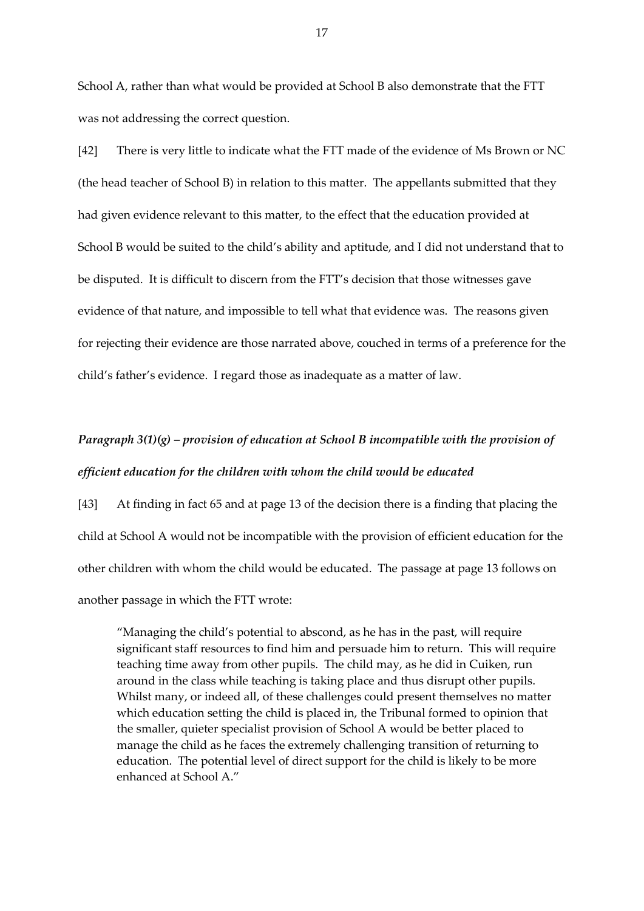School A, rather than what would be provided at School B also demonstrate that the FTT was not addressing the correct question.

[42] There is very little to indicate what the FTT made of the evidence of Ms Brown or NC (the head teacher of School B) in relation to this matter. The appellants submitted that they had given evidence relevant to this matter, to the effect that the education provided at School B would be suited to the child's ability and aptitude, and I did not understand that to be disputed. It is difficult to discern from the FTT's decision that those witnesses gave evidence of that nature, and impossible to tell what that evidence was. The reasons given for rejecting their evidence are those narrated above, couched in terms of a preference for the child's father's evidence. I regard those as inadequate as a matter of law.

# *Paragraph 3(1)(g) – provision of education at School B incompatible with the provision of efficient education for the children with whom the child would be educated*

[43] At finding in fact 65 and at page 13 of the decision there is a finding that placing the child at School A would not be incompatible with the provision of efficient education for the other children with whom the child would be educated. The passage at page 13 follows on another passage in which the FTT wrote:

"Managing the child's potential to abscond, as he has in the past, will require significant staff resources to find him and persuade him to return. This will require teaching time away from other pupils. The child may, as he did in Cuiken, run around in the class while teaching is taking place and thus disrupt other pupils. Whilst many, or indeed all, of these challenges could present themselves no matter which education setting the child is placed in, the Tribunal formed to opinion that the smaller, quieter specialist provision of School A would be better placed to manage the child as he faces the extremely challenging transition of returning to education. The potential level of direct support for the child is likely to be more enhanced at School A."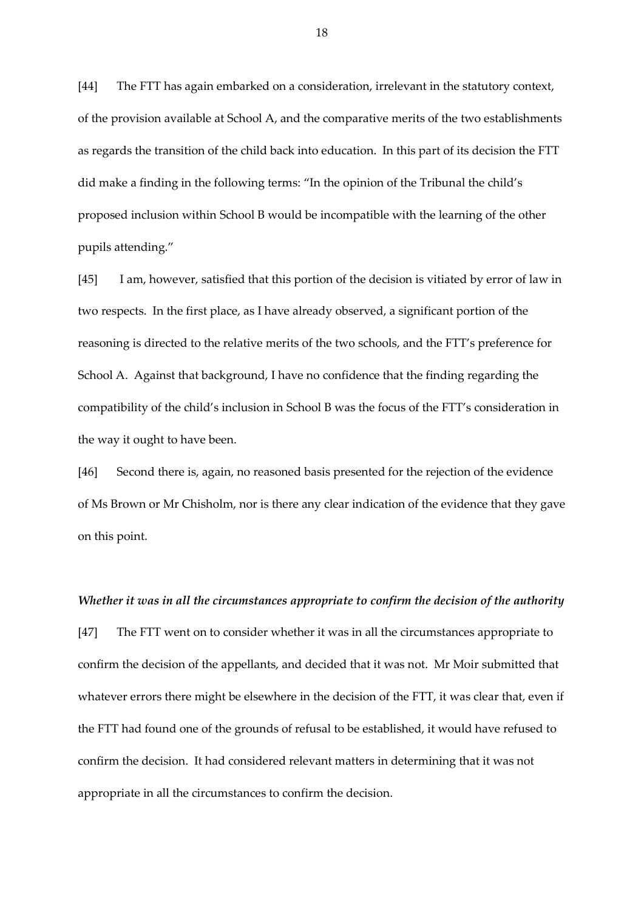[44] The FTT has again embarked on a consideration, irrelevant in the statutory context, of the provision available at School A, and the comparative merits of the two establishments as regards the transition of the child back into education. In this part of its decision the FTT did make a finding in the following terms: "In the opinion of the Tribunal the child's proposed inclusion within School B would be incompatible with the learning of the other pupils attending."

[45] I am, however, satisfied that this portion of the decision is vitiated by error of law in two respects. In the first place, as I have already observed, a significant portion of the reasoning is directed to the relative merits of the two schools, and the FTT's preference for School A. Against that background, I have no confidence that the finding regarding the compatibility of the child's inclusion in School B was the focus of the FTT's consideration in the way it ought to have been.

[46] Second there is, again, no reasoned basis presented for the rejection of the evidence of Ms Brown or Mr Chisholm, nor is there any clear indication of the evidence that they gave on this point.

#### *Whether it was in all the circumstances appropriate to confirm the decision of the authority*

[47] The FTT went on to consider whether it was in all the circumstances appropriate to confirm the decision of the appellants, and decided that it was not. Mr Moir submitted that whatever errors there might be elsewhere in the decision of the FTT, it was clear that, even if the FTT had found one of the grounds of refusal to be established, it would have refused to confirm the decision. It had considered relevant matters in determining that it was not appropriate in all the circumstances to confirm the decision.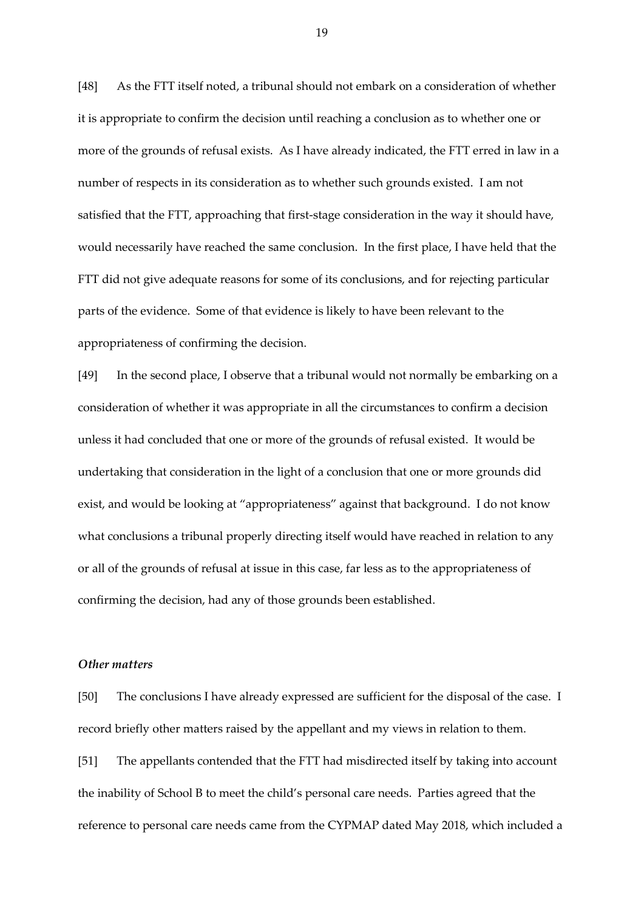[48] As the FTT itself noted, a tribunal should not embark on a consideration of whether it is appropriate to confirm the decision until reaching a conclusion as to whether one or more of the grounds of refusal exists. As I have already indicated, the FTT erred in law in a number of respects in its consideration as to whether such grounds existed. I am not satisfied that the FTT, approaching that first-stage consideration in the way it should have, would necessarily have reached the same conclusion. In the first place, I have held that the FTT did not give adequate reasons for some of its conclusions, and for rejecting particular parts of the evidence. Some of that evidence is likely to have been relevant to the appropriateness of confirming the decision.

[49] In the second place, I observe that a tribunal would not normally be embarking on a consideration of whether it was appropriate in all the circumstances to confirm a decision unless it had concluded that one or more of the grounds of refusal existed. It would be undertaking that consideration in the light of a conclusion that one or more grounds did exist, and would be looking at "appropriateness" against that background. I do not know what conclusions a tribunal properly directing itself would have reached in relation to any or all of the grounds of refusal at issue in this case, far less as to the appropriateness of confirming the decision, had any of those grounds been established.

## *Other matters*

[50] The conclusions I have already expressed are sufficient for the disposal of the case. I record briefly other matters raised by the appellant and my views in relation to them. [51] The appellants contended that the FTT had misdirected itself by taking into account the inability of School B to meet the child's personal care needs. Parties agreed that the reference to personal care needs came from the CYPMAP dated May 2018, which included a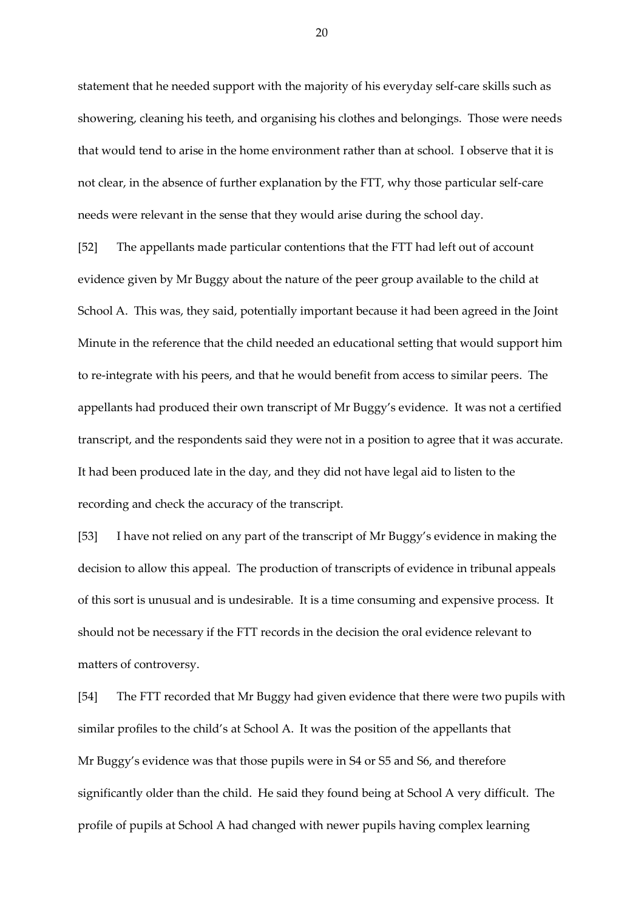statement that he needed support with the majority of his everyday self-care skills such as showering, cleaning his teeth, and organising his clothes and belongings. Those were needs that would tend to arise in the home environment rather than at school. I observe that it is not clear, in the absence of further explanation by the FTT, why those particular self-care needs were relevant in the sense that they would arise during the school day.

[52] The appellants made particular contentions that the FTT had left out of account evidence given by Mr Buggy about the nature of the peer group available to the child at School A. This was, they said, potentially important because it had been agreed in the Joint Minute in the reference that the child needed an educational setting that would support him to re-integrate with his peers, and that he would benefit from access to similar peers. The appellants had produced their own transcript of Mr Buggy's evidence. It was not a certified transcript, and the respondents said they were not in a position to agree that it was accurate. It had been produced late in the day, and they did not have legal aid to listen to the recording and check the accuracy of the transcript.

[53] I have not relied on any part of the transcript of Mr Buggy's evidence in making the decision to allow this appeal. The production of transcripts of evidence in tribunal appeals of this sort is unusual and is undesirable. It is a time consuming and expensive process. It should not be necessary if the FTT records in the decision the oral evidence relevant to matters of controversy.

[54] The FTT recorded that Mr Buggy had given evidence that there were two pupils with similar profiles to the child's at School A. It was the position of the appellants that Mr Buggy's evidence was that those pupils were in S4 or S5 and S6, and therefore significantly older than the child. He said they found being at School A very difficult. The profile of pupils at School A had changed with newer pupils having complex learning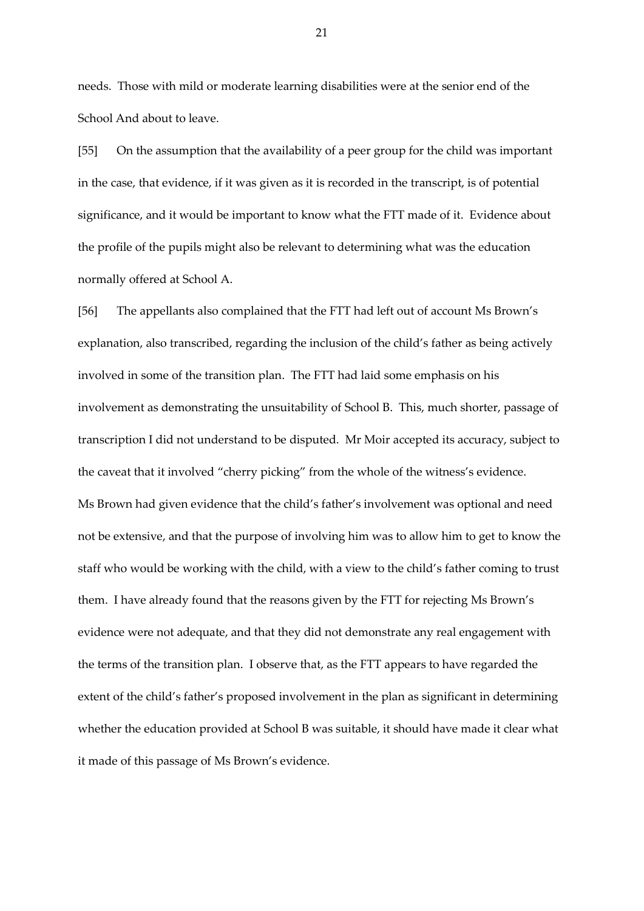needs. Those with mild or moderate learning disabilities were at the senior end of the School And about to leave.

[55] On the assumption that the availability of a peer group for the child was important in the case, that evidence, if it was given as it is recorded in the transcript, is of potential significance, and it would be important to know what the FTT made of it. Evidence about the profile of the pupils might also be relevant to determining what was the education normally offered at School A.

[56] The appellants also complained that the FTT had left out of account Ms Brown's explanation, also transcribed, regarding the inclusion of the child's father as being actively involved in some of the transition plan. The FTT had laid some emphasis on his involvement as demonstrating the unsuitability of School B. This, much shorter, passage of transcription I did not understand to be disputed. Mr Moir accepted its accuracy, subject to the caveat that it involved "cherry picking" from the whole of the witness's evidence. Ms Brown had given evidence that the child's father's involvement was optional and need not be extensive, and that the purpose of involving him was to allow him to get to know the staff who would be working with the child, with a view to the child's father coming to trust them. I have already found that the reasons given by the FTT for rejecting Ms Brown's evidence were not adequate, and that they did not demonstrate any real engagement with the terms of the transition plan. I observe that, as the FTT appears to have regarded the extent of the child's father's proposed involvement in the plan as significant in determining whether the education provided at School B was suitable, it should have made it clear what it made of this passage of Ms Brown's evidence.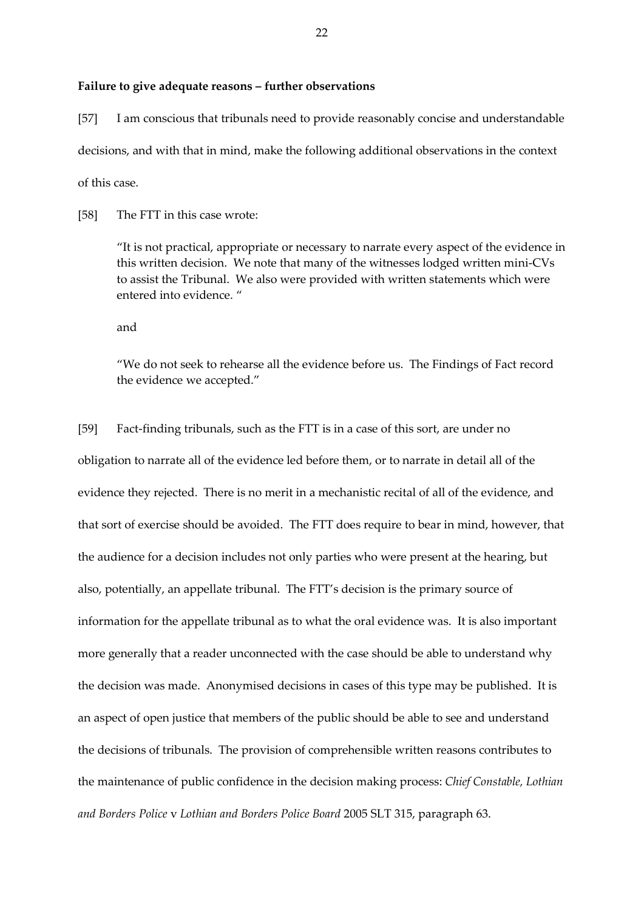#### **Failure to give adequate reasons – further observations**

[57] I am conscious that tribunals need to provide reasonably concise and understandable decisions, and with that in mind, make the following additional observations in the context of this case.

[58] The FTT in this case wrote:

"It is not practical, appropriate or necessary to narrate every aspect of the evidence in this written decision. We note that many of the witnesses lodged written mini-CVs to assist the Tribunal. We also were provided with written statements which were entered into evidence. "

and

"We do not seek to rehearse all the evidence before us. The Findings of Fact record the evidence we accepted."

[59] Fact-finding tribunals, such as the FTT is in a case of this sort, are under no obligation to narrate all of the evidence led before them, or to narrate in detail all of the evidence they rejected. There is no merit in a mechanistic recital of all of the evidence, and that sort of exercise should be avoided. The FTT does require to bear in mind, however, that the audience for a decision includes not only parties who were present at the hearing, but also, potentially, an appellate tribunal. The FTT's decision is the primary source of information for the appellate tribunal as to what the oral evidence was. It is also important more generally that a reader unconnected with the case should be able to understand why the decision was made. Anonymised decisions in cases of this type may be published. It is an aspect of open justice that members of the public should be able to see and understand the decisions of tribunals. The provision of comprehensible written reasons contributes to the maintenance of public confidence in the decision making process: *Chief Constable, Lothian and Borders Police* v *Lothian and Borders Police Board* 2005 SLT 315, paragraph 63.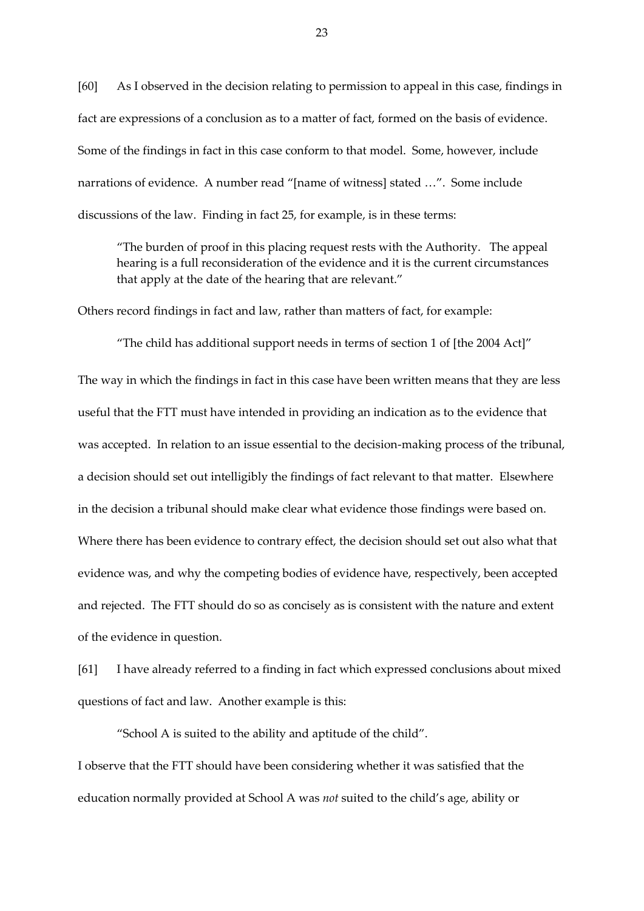[60] As I observed in the decision relating to permission to appeal in this case, findings in fact are expressions of a conclusion as to a matter of fact, formed on the basis of evidence. Some of the findings in fact in this case conform to that model. Some, however, include narrations of evidence. A number read "[name of witness] stated …". Some include discussions of the law. Finding in fact 25, for example, is in these terms:

"The burden of proof in this placing request rests with the Authority. The appeal hearing is a full reconsideration of the evidence and it is the current circumstances that apply at the date of the hearing that are relevant."

Others record findings in fact and law, rather than matters of fact, for example:

"The child has additional support needs in terms of section 1 of [the 2004 Act]" The way in which the findings in fact in this case have been written means that they are less useful that the FTT must have intended in providing an indication as to the evidence that was accepted. In relation to an issue essential to the decision-making process of the tribunal, a decision should set out intelligibly the findings of fact relevant to that matter. Elsewhere in the decision a tribunal should make clear what evidence those findings were based on. Where there has been evidence to contrary effect, the decision should set out also what that evidence was, and why the competing bodies of evidence have, respectively, been accepted and rejected. The FTT should do so as concisely as is consistent with the nature and extent of the evidence in question.

[61] I have already referred to a finding in fact which expressed conclusions about mixed questions of fact and law. Another example is this:

"School A is suited to the ability and aptitude of the child".

I observe that the FTT should have been considering whether it was satisfied that the education normally provided at School A was *not* suited to the child's age, ability or